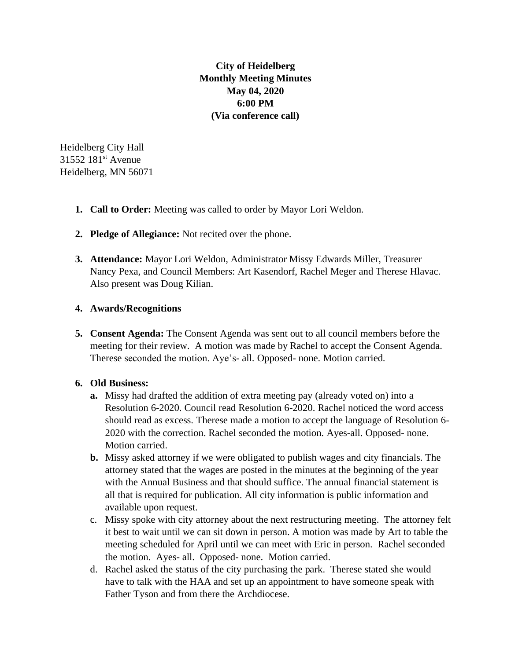**City of Heidelberg Monthly Meeting Minutes May 04, 2020 6:00 PM (Via conference call)**

Heidelberg City Hall 31552 181st Avenue Heidelberg, MN 56071

- **1. Call to Order:** Meeting was called to order by Mayor Lori Weldon.
- **2. Pledge of Allegiance:** Not recited over the phone.
- **3. Attendance:** Mayor Lori Weldon, Administrator Missy Edwards Miller, Treasurer Nancy Pexa, and Council Members: Art Kasendorf, Rachel Meger and Therese Hlavac. Also present was Doug Kilian.

## **4. Awards/Recognitions**

**5. Consent Agenda:** The Consent Agenda was sent out to all council members before the meeting for their review. A motion was made by Rachel to accept the Consent Agenda. Therese seconded the motion. Aye's- all. Opposed- none. Motion carried.

## **6. Old Business:**

- **a.** Missy had drafted the addition of extra meeting pay (already voted on) into a Resolution 6-2020. Council read Resolution 6-2020. Rachel noticed the word access should read as excess. Therese made a motion to accept the language of Resolution 6- 2020 with the correction. Rachel seconded the motion. Ayes-all. Opposed- none. Motion carried.
- **b.** Missy asked attorney if we were obligated to publish wages and city financials. The attorney stated that the wages are posted in the minutes at the beginning of the year with the Annual Business and that should suffice. The annual financial statement is all that is required for publication. All city information is public information and available upon request.
- c. Missy spoke with city attorney about the next restructuring meeting. The attorney felt it best to wait until we can sit down in person. A motion was made by Art to table the meeting scheduled for April until we can meet with Eric in person. Rachel seconded the motion. Ayes- all. Opposed- none. Motion carried.
- d. Rachel asked the status of the city purchasing the park. Therese stated she would have to talk with the HAA and set up an appointment to have someone speak with Father Tyson and from there the Archdiocese.